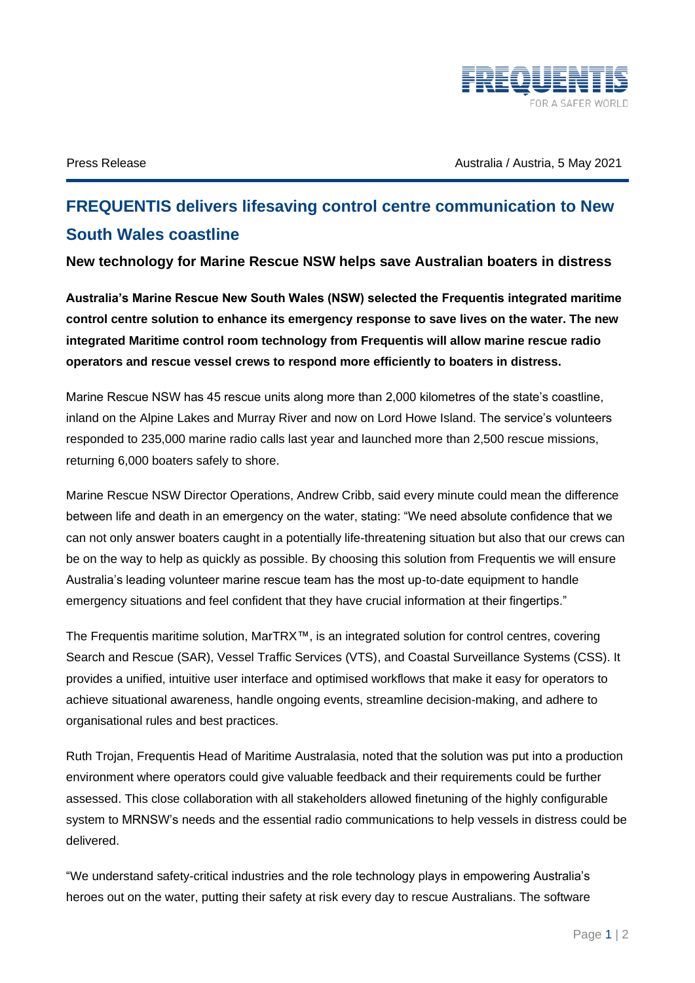

Press Release Australia / Australia / Australia / Australia / Australia .5 May 2021

## **FREQUENTIS delivers lifesaving control centre communication to New South Wales coastline**

**New technology for Marine Rescue NSW helps save Australian boaters in distress**

**Australia's Marine Rescue New South Wales (NSW) selected the Frequentis integrated maritime control centre solution to enhance its emergency response to save lives on the water. The new integrated Maritime control room technology from Frequentis will allow marine rescue radio operators and rescue vessel crews to respond more efficiently to boaters in distress.** 

Marine Rescue NSW has 45 rescue units along more than 2,000 kilometres of the state's coastline, inland on the Alpine Lakes and Murray River and now on Lord Howe Island. The service's volunteers responded to 235,000 marine radio calls last year and launched more than 2,500 rescue missions, returning 6,000 boaters safely to shore.

Marine Rescue NSW Director Operations, Andrew Cribb, said every minute could mean the difference between life and death in an emergency on the water, stating: "We need absolute confidence that we can not only answer boaters caught in a potentially life-threatening situation but also that our crews can be on the way to help as quickly as possible. By choosing this solution from Frequentis we will ensure Australia's leading volunteer marine rescue team has the most up-to-date equipment to handle emergency situations and feel confident that they have crucial information at their fingertips."

The Frequentis maritime solution, MarTRX™, is an integrated solution for control centres, covering Search and Rescue (SAR), Vessel Traffic Services (VTS), and Coastal Surveillance Systems (CSS). It provides a unified, intuitive user interface and optimised workflows that make it easy for operators to achieve situational awareness, handle ongoing events, streamline decision-making, and adhere to organisational rules and best practices.

Ruth Trojan, Frequentis Head of Maritime Australasia, noted that the solution was put into a production environment where operators could give valuable feedback and their requirements could be further assessed. This close collaboration with all stakeholders allowed finetuning of the highly configurable system to MRNSW's needs and the essential radio communications to help vessels in distress could be delivered.

"We understand safety-critical industries and the role technology plays in empowering Australia's heroes out on the water, putting their safety at risk every day to rescue Australians. The software